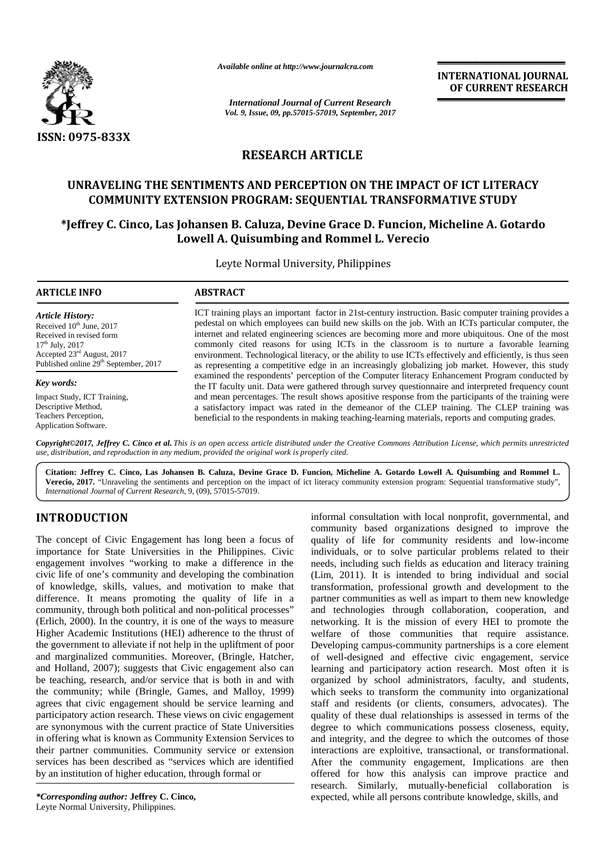

*Available online at http://www.journalcra.com*

**INTERNATIONAL JOURNAL OF CURRENT RESEARCH**

## **RESEARCH ARTICLE**

## **UNRAVELING THE SENTIMENTS AND PERCEPTION ON THE IMPACT OF ICT LITERACY COMMUNITY EXTENSION PROGRAM: SEQUENTIAL TRANSFORMATIVE STUDY** UNRAVELING THE SENTIMENTS AND PERCEPTION ON THE IMPACT OF ICT LITERACY<br>COMMUNITY EXTENSION PROGRAM: SEQUENTIAL TRANSFORMATIVE STUDY<br>FJeffrey C. Cinco, Las Johansen B. Caluza, Devine Grace D. Funcion, Micheline A. Gotardo\*

# **Lowell A. Quisumbing and Rommel L. Verecio**

|                                                                                                                                                                                                                                                                                                                                                                                                                                                                                                                                                                                                                                                                                                                                                                                                                                                                                                                                                                                                                                                                                                                                                                                                                                                                                                                                                                                |                         | <b>INTERNATIONAL JOURNAL</b><br>OF CURRENT RESEARCH                                                                                                                                                                                                                                                                                                                                                                                                                                                                                                                                                                                                                                                                                                                                                                                                                                                                                                                                                                                                                                                                                                                                                                                                                                                                                                 |
|--------------------------------------------------------------------------------------------------------------------------------------------------------------------------------------------------------------------------------------------------------------------------------------------------------------------------------------------------------------------------------------------------------------------------------------------------------------------------------------------------------------------------------------------------------------------------------------------------------------------------------------------------------------------------------------------------------------------------------------------------------------------------------------------------------------------------------------------------------------------------------------------------------------------------------------------------------------------------------------------------------------------------------------------------------------------------------------------------------------------------------------------------------------------------------------------------------------------------------------------------------------------------------------------------------------------------------------------------------------------------------|-------------------------|-----------------------------------------------------------------------------------------------------------------------------------------------------------------------------------------------------------------------------------------------------------------------------------------------------------------------------------------------------------------------------------------------------------------------------------------------------------------------------------------------------------------------------------------------------------------------------------------------------------------------------------------------------------------------------------------------------------------------------------------------------------------------------------------------------------------------------------------------------------------------------------------------------------------------------------------------------------------------------------------------------------------------------------------------------------------------------------------------------------------------------------------------------------------------------------------------------------------------------------------------------------------------------------------------------------------------------------------------------|
|                                                                                                                                                                                                                                                                                                                                                                                                                                                                                                                                                                                                                                                                                                                                                                                                                                                                                                                                                                                                                                                                                                                                                                                                                                                                                                                                                                                |                         | <b>International Journal of Current Research</b><br>Vol. 9, Issue, 09, pp.57015-57019, September, 2017                                                                                                                                                                                                                                                                                                                                                                                                                                                                                                                                                                                                                                                                                                                                                                                                                                                                                                                                                                                                                                                                                                                                                                                                                                              |
|                                                                                                                                                                                                                                                                                                                                                                                                                                                                                                                                                                                                                                                                                                                                                                                                                                                                                                                                                                                                                                                                                                                                                                                                                                                                                                                                                                                |                         |                                                                                                                                                                                                                                                                                                                                                                                                                                                                                                                                                                                                                                                                                                                                                                                                                                                                                                                                                                                                                                                                                                                                                                                                                                                                                                                                                     |
| ISSN: 0975-833X                                                                                                                                                                                                                                                                                                                                                                                                                                                                                                                                                                                                                                                                                                                                                                                                                                                                                                                                                                                                                                                                                                                                                                                                                                                                                                                                                                | <b>RESEARCH ARTICLE</b> |                                                                                                                                                                                                                                                                                                                                                                                                                                                                                                                                                                                                                                                                                                                                                                                                                                                                                                                                                                                                                                                                                                                                                                                                                                                                                                                                                     |
|                                                                                                                                                                                                                                                                                                                                                                                                                                                                                                                                                                                                                                                                                                                                                                                                                                                                                                                                                                                                                                                                                                                                                                                                                                                                                                                                                                                |                         |                                                                                                                                                                                                                                                                                                                                                                                                                                                                                                                                                                                                                                                                                                                                                                                                                                                                                                                                                                                                                                                                                                                                                                                                                                                                                                                                                     |
|                                                                                                                                                                                                                                                                                                                                                                                                                                                                                                                                                                                                                                                                                                                                                                                                                                                                                                                                                                                                                                                                                                                                                                                                                                                                                                                                                                                |                         | UNRAVELING THE SENTIMENTS AND PERCEPTION ON THE IMPACT OF ICT LITERACY<br>COMMUNITY EXTENSION PROGRAM: SEQUENTIAL TRANSFORMATIVE STUDY                                                                                                                                                                                                                                                                                                                                                                                                                                                                                                                                                                                                                                                                                                                                                                                                                                                                                                                                                                                                                                                                                                                                                                                                              |
|                                                                                                                                                                                                                                                                                                                                                                                                                                                                                                                                                                                                                                                                                                                                                                                                                                                                                                                                                                                                                                                                                                                                                                                                                                                                                                                                                                                |                         | *Jeffrey C. Cinco, Las Johansen B. Caluza, Devine Grace D. Funcion, Micheline A. Gotardo<br>Lowell A. Quisumbing and Rommel L. Verecio                                                                                                                                                                                                                                                                                                                                                                                                                                                                                                                                                                                                                                                                                                                                                                                                                                                                                                                                                                                                                                                                                                                                                                                                              |
|                                                                                                                                                                                                                                                                                                                                                                                                                                                                                                                                                                                                                                                                                                                                                                                                                                                                                                                                                                                                                                                                                                                                                                                                                                                                                                                                                                                |                         | Leyte Normal University, Philippines                                                                                                                                                                                                                                                                                                                                                                                                                                                                                                                                                                                                                                                                                                                                                                                                                                                                                                                                                                                                                                                                                                                                                                                                                                                                                                                |
| <b>ARTICLE INFO</b>                                                                                                                                                                                                                                                                                                                                                                                                                                                                                                                                                                                                                                                                                                                                                                                                                                                                                                                                                                                                                                                                                                                                                                                                                                                                                                                                                            | <b>ABSTRACT</b>         |                                                                                                                                                                                                                                                                                                                                                                                                                                                                                                                                                                                                                                                                                                                                                                                                                                                                                                                                                                                                                                                                                                                                                                                                                                                                                                                                                     |
| <b>Article History:</b><br>Received 10 <sup>th</sup> June, 2017<br>Received in revised form<br>$17th$ July, 2017<br>Accepted 23rd August, 2017<br>Published online 29 <sup>th</sup> September, 2017                                                                                                                                                                                                                                                                                                                                                                                                                                                                                                                                                                                                                                                                                                                                                                                                                                                                                                                                                                                                                                                                                                                                                                            |                         | ICT training plays an important factor in 21st-century instruction. Basic computer training provides a<br>pedestal on which employees can build new skills on the job. With an ICTs particular computer, the<br>internet and related engineering sciences are becoming more and more ubiquitous. One of the most<br>commonly cited reasons for using ICTs in the classroom is to nurture a favorable learning<br>environment. Technological literacy, or the ability to use ICTs effectively and efficiently, is thus seen<br>as representing a competitive edge in an increasingly globalizing job market. However, this study                                                                                                                                                                                                                                                                                                                                                                                                                                                                                                                                                                                                                                                                                                                     |
| Key words:                                                                                                                                                                                                                                                                                                                                                                                                                                                                                                                                                                                                                                                                                                                                                                                                                                                                                                                                                                                                                                                                                                                                                                                                                                                                                                                                                                     |                         | examined the respondents' perception of the Computer literacy Enhancement Program conducted by<br>the IT faculty unit. Data were gathered through survey questionnaire and interpreted frequency count                                                                                                                                                                                                                                                                                                                                                                                                                                                                                                                                                                                                                                                                                                                                                                                                                                                                                                                                                                                                                                                                                                                                              |
| Impact Study, ICT Training,<br>Descriptive Method,<br>Teachers Perception,<br>Application Software.                                                                                                                                                                                                                                                                                                                                                                                                                                                                                                                                                                                                                                                                                                                                                                                                                                                                                                                                                                                                                                                                                                                                                                                                                                                                            |                         | and mean percentages. The result shows apositive response from the participants of the training were<br>a satisfactory impact was rated in the demeanor of the CLEP training. The CLEP training was<br>beneficial to the respondents in making teaching-learning materials, reports and computing grades.                                                                                                                                                                                                                                                                                                                                                                                                                                                                                                                                                                                                                                                                                                                                                                                                                                                                                                                                                                                                                                           |
| use, distribution, and reproduction in any medium, provided the original work is properly cited.                                                                                                                                                                                                                                                                                                                                                                                                                                                                                                                                                                                                                                                                                                                                                                                                                                                                                                                                                                                                                                                                                                                                                                                                                                                                               |                         | Copyright©2017, Jeffrey C. Cinco et al. This is an open access article distributed under the Creative Commons Attribution License, which permits unrestricted                                                                                                                                                                                                                                                                                                                                                                                                                                                                                                                                                                                                                                                                                                                                                                                                                                                                                                                                                                                                                                                                                                                                                                                       |
| International Journal of Current Research, 9, (09), 57015-57019.                                                                                                                                                                                                                                                                                                                                                                                                                                                                                                                                                                                                                                                                                                                                                                                                                                                                                                                                                                                                                                                                                                                                                                                                                                                                                                               |                         | Citation: Jeffrey C. Cinco, Las Johansen B. Caluza, Devine Grace D. Funcion, Micheline A. Gotardo Lowell A. Quisumbing and Rommel L.<br>Verecio, 2017. "Unraveling the sentiments and perception on the impact of ict literacy community extension program: Sequential transformative study",                                                                                                                                                                                                                                                                                                                                                                                                                                                                                                                                                                                                                                                                                                                                                                                                                                                                                                                                                                                                                                                       |
| <b>INTRODUCTION</b>                                                                                                                                                                                                                                                                                                                                                                                                                                                                                                                                                                                                                                                                                                                                                                                                                                                                                                                                                                                                                                                                                                                                                                                                                                                                                                                                                            |                         | informal consultation with local nonprofit, governmental, and<br>community based organizations designed to improve the                                                                                                                                                                                                                                                                                                                                                                                                                                                                                                                                                                                                                                                                                                                                                                                                                                                                                                                                                                                                                                                                                                                                                                                                                              |
| The concept of Civic Engagement has long been a focus of<br>importance for State Universities in the Philippines. Civic<br>engagement involves "working to make a difference in the<br>civic life of one's community and developing the combination<br>of knowledge, skills, values, and motivation to make that<br>difference. It means promoting the quality of life in a<br>community, through both political and non-political processes"<br>(Erlich, 2000). In the country, it is one of the ways to measure<br>Higher Academic Institutions (HEI) adherence to the thrust of<br>the government to alleviate if not help in the upliftment of poor<br>and marginalized communities. Moreover, (Bringle, Hatcher,<br>and Holland, 2007); suggests that Civic engagement also can<br>be teaching, research, and/or service that is both in and with<br>the community; while (Bringle, Games, and Malloy, 1999)<br>agrees that civic engagement should be service learning and<br>participatory action research. These views on civic engagement<br>are synonymous with the current practice of State Universities<br>in offering what is known as Community Extension Services to<br>their partner communities. Community service or extension<br>services has been described as "services which are identified<br>by an institution of higher education, through formal or |                         | quality of life for community residents and low-income<br>individuals, or to solve particular problems related to their<br>needs, including such fields as education and literacy training<br>(Lim, 2011). It is intended to bring individual and social<br>transformation, professional growth and development to the<br>partner communities as well as impart to them new knowledge<br>and technologies through collaboration, cooperation, and<br>networking. It is the mission of every HEI to promote the<br>welfare of those communities that require assistance.<br>Developing campus-community partnerships is a core element<br>of well-designed and effective civic engagement, service<br>learning and participatory action research. Most often it is<br>organized by school administrators, faculty, and students,<br>which seeks to transform the community into organizational<br>staff and residents (or clients, consumers, advocates). The<br>quality of these dual relationships is assessed in terms of the<br>degree to which communications possess closeness, equity,<br>and integrity, and the degree to which the outcomes of those<br>interactions are exploitive, transactional, or transformational.<br>After the community engagement, Implications are then<br>offered for how this analysis can improve practice and |

## **INTRODUCTION INTRODUCTION**

*\*Corresponding author:* **Jeffrey C. Cinco,** *\*Corresponding* Leyte Normal University, Philippines.

informal consultation with local nonprofit, governmental, and community based organizations designed to improve the quality of life for community residents and low-income individuals, or to solve particular problems related to their needs, including such fields as education and literacy training (Lim, 2011). It is intended to bring individual and social transformation, professional growth and development to the partner communities as well as impart to them new knowledge and technologies through collaboration, cooperation, and networking. It is the mission of every HEI to promote the welfare of those communities that require assistance. Developing campus-community partnerships is a core element of well-designed and effective civic engagement, service learning and participatory action research. Most often it is organized by school administrators, faculty, and students, which seeks to transform the community into organizational staff and residents (or clients, consumers, advocates). The quality of these dual relationships is assessed in terms of the degree to which communications possess closeness, equity, and integrity, and the degree to which the outcomes of those interactions are exploitive, transactional, or transformational. After the community engagement, Implications are then offered for how this analysis can improve practice and research. Similarly, mutually-beneficial collaboration is expected, while all persons contribute knowledge, skills, and **INTRODUCTION**<br>
Informal consultation with local nonpofit, governmental and<br>
informal community based organizations designed to improve the<br>
The concept of Civic Engagement has long been a focus of quality<br>duals, or to sol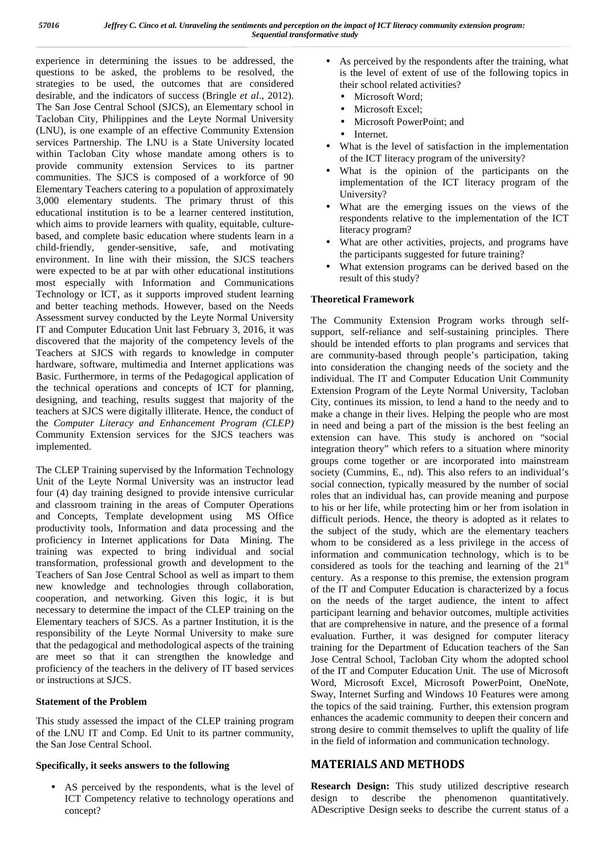experience in determining the issues to be addressed, the questions to be asked, the problems to be resolved, the strategies to be used, the outcomes that are considered desirable, and the indicators of success (Bringle *et al*., 2012). The San Jose Central School (SJCS), an Elementary school in Tacloban City, Philippines and the Leyte Normal University (LNU), is one example of an effective Community Extension services Partnership. The LNU is a State University located within Tacloban City whose mandate among others is to provide community extension Services to its partner communities. The SJCS is composed of a workforce of 90 Elementary Teachers catering to a population of approximately 3,000 elementary students. The primary thrust of this educational institution is to be a learner centered institution, which aims to provide learners with quality, equitable, culture based, and complete basic education where students learn in a child-friendly, gender-sensitive, safe, and motivating environment. In line with their mission, the SJCS teachers were expected to be at par with other educational institutions most especially with Information and Communications Technology or ICT, as it supports improved student learning and better teaching methods. However, based on the Needs Assessment survey conducted by the Leyte Normal University IT and Computer Education Unit last February 3, 2016, it was discovered that the majority of the competency levels of the Teachers at SJCS with regards to knowledge in computer hardware, software, multimedia and Internet applications was Basic. Furthermore, in terms of the Pedagogical application of the technical operations and concepts of ICT for planning, designing, and teaching, results suggest that majority of the teachers at SJCS were digitally illiterate. Hence, the conduct of the *Computer Literacy and Enhancement Program (CLEP)* Community Extension services for the SJCS teachers was implemented.

The CLEP Training supervised by the Information Technology Unit of the Leyte Normal University was an instructor lead four (4) day training designed to provide intensive curricular and classroom training in the areas of Computer Operations and Concepts, Template development using MS Office productivity tools, Information and data processing and the proficiency in Internet applications for Data Mining. The training was expected to bring individual and social transformation, professional growth and development to the Teachers of San Jose Central School as well as impart to them new knowledge and technologies through collaboration, cooperation, and networking. Given this logic, it is but necessary to determine the impact of the CLEP training on the Elementary teachers of SJCS. As a partner Institution, it is the responsibility of the Leyte Normal University to make sure that the pedagogical and methodological aspects of the training are meet so that it can strengthen the knowledge and proficiency of the teachers in the delivery of IT based services or instructions at SJCS.

#### **Statement of the Problem**

This study assessed the impact of the CLEP training program of the LNU IT and Comp. Ed Unit to its partner community, the San Jose Central School.

#### **Specifically, it seeks answers to the following**

 AS perceived by the respondents, what is the level of ICT Competency relative to technology operations and concept?

- As perceived by the respondents after the training, what is the level of extent of use of the following topics in their school related activities?
	- Microsoft Word;
	- Microsoft Excel;
	- Microsoft PowerPoint: and
	- Internet.
- What is the level of satisfaction in the implementation of the ICT literacy program of the university?
- What is the opinion of the participants on the implementation of the ICT literacy program of the University?
- What are the emerging issues on the views of the respondents relative to the implementation of the ICT literacy program?
- What are other activities, projects, and programs have the participants suggested for future training?
- What extension programs can be derived based on the result of this study?

### **Theoretical Framework**

The Community Extension Program works through self support, self-reliance and self-sustaining principles. There should be intended efforts to plan programs and services that are community-based through people's participation, taking into consideration the changing needs of the society and the individual. The IT and Computer Education Unit Community Extension Program of the Leyte Normal University, Tacloban City, continues its mission, to lend a hand to the needy and to make a change in their lives. Helping the people who are most in need and being a part of the mission is the best feeling an extension can have. This study is anchored on "social integration theory" which refers to a situation where minority groups come together or are incorporated into mainstream society (Cummins, E., nd). This also refers to an individual's social connection, typically measured by the number of social roles that an individual has, can provide meaning and purpose to his or her life, while protecting him or her from isolation in difficult periods. Hence, the theory is adopted as it relates to the subject of the study, which are the elementary teachers whom to be considered as a less privilege in the access of information and communication technology, which is to be considered as tools for the teaching and learning of the  $21<sup>st</sup>$ century. As a response to this premise, the extension program of the IT and Computer Education is characterized by a focus on the needs of the target audience, the intent to affect participant learning and behavior outcomes, multiple activities that are comprehensive in nature, and the presence of a formal evaluation. Further, it was designed for computer literacy training for the Department of Education teachers of the San Jose Central School, Tacloban City whom the adopted school of the IT and Computer Education Unit. The use of Microsoft Word, Microsoft Excel, Microsoft PowerPoint, OneNote, Sway, Internet Surfing and Windows 10 Features were among the topics of the said training. Further, this extension program enhances the academic community to deepen their concern and strong desire to commit themselves to uplift the quality of life in the field of information and communication technology.

## **MATERIALS AND METHODS**

**Research Design:** This study utilized descriptive research design to describe the phenomenon quantitatively. ADescriptive Design seeks to describe the current status of a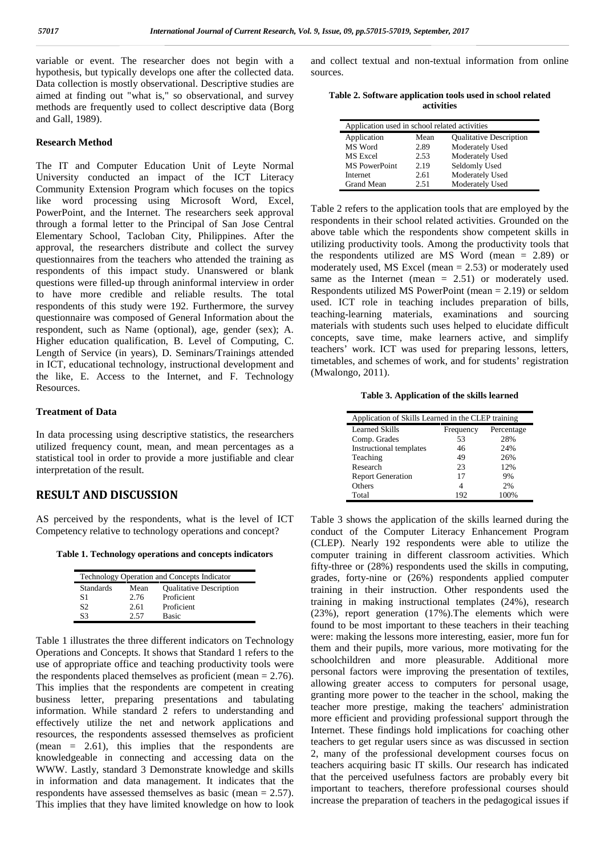variable or event. The researcher does not begin with a hypothesis, but typically develops one after the collected data. Data collection is mostly observational. Descriptive studies are aimed at finding out "what is," so observational, and survey methods are frequently used to collect descriptive data (Borg and Gall, 1989).

#### **Research Method**

The IT and Computer Education Unit of Leyte Normal University conducted an impact of the ICT Literacy Community Extension Program which focuses on the topics like word processing using Microsoft Word, Excel, PowerPoint, and the Internet. The researchers seek approval through a formal letter to the Principal of San Jose Central Elementary School, Tacloban City, Philippines. After the approval, the researchers distribute and collect the survey questionnaires from the teachers who attended the training as respondents of this impact study. Unanswered or blank questions were filled-up through aninformal interview in order to have more credible and reliable results. The total respondents of this study were 192. Furthermore, the survey questionnaire was composed of General Information about the respondent, such as Name (optional), age, gender (sex); A. Higher education qualification, B. Level of Computing, C. Length of Service (in years), D. Seminars/Trainings attended in ICT, educational technology, instructional development and the like, E. Access to the Internet, and F. Technology Resources.

#### **Treatment of Data**

In data processing using descriptive statistics, the researchers utilized frequency count, mean, and mean percentages as a statistical tool in order to provide a more justifiable and clear interpretation of the result.

#### **RESULT AND DISCUSSION**

AS perceived by the respondents, what is the level of ICT Competency relative to technology operations and concept?

**Table 1. Technology operations and concepts indicators**

|                  |      | Technology Operation and Concepts Indicator |
|------------------|------|---------------------------------------------|
| <b>Standards</b> | Mean | <b>Qualitative Description</b>              |
| S1               | 2.76 | Proficient                                  |
| S2               | 2.61 | Proficient                                  |
| S3               | 2.57 | <b>Basic</b>                                |

Table 1 illustrates the three different indicators on Technology Operations and Concepts. It shows that Standard 1 refers to the use of appropriate office and teaching productivity tools were the respondents placed themselves as proficient (mean  $= 2.76$ ). This implies that the respondents are competent in creating business letter, preparing presentations and tabulating information. While standard 2 refers to understanding and effectively utilize the net and network applications and resources, the respondents assessed themselves as proficient (mean = 2.61), this implies that the respondents are knowledgeable in connecting and accessing data on the WWW. Lastly, standard 3 Demonstrate knowledge and skills in information and data management. It indicates that the respondents have assessed themselves as basic (mean = 2.57). This implies that they have limited knowledge on how to look

and collect textual and non-textual information from online sources.

**Table 2. Software application tools used in school related activities**

| Application used in school related activities |      |                                |
|-----------------------------------------------|------|--------------------------------|
| Application                                   | Mean | <b>Qualitative Description</b> |
| MS Word                                       | 2.89 | Moderately Used                |
| MS Excel                                      | 2.53 | Moderately Used                |
| <b>MS</b> PowerPoint                          | 2.19 | Seldomly Used                  |
| Internet                                      | 2.61 | Moderately Used                |
| Grand Mean                                    | 2.51 | Moderately Used                |

Table 2 refers to the application tools that are employed by the respondents in their school related activities. Grounded on the above table which the respondents show competent skills in utilizing productivity tools. Among the productivity tools that the respondents utilized are MS Word (mean = 2.89) or moderately used, MS Excel (mean = 2.53) or moderately used same as the Internet (mean = 2.51) or moderately used. Respondents utilized MS PowerPoint (mean = 2.19) or seldom used. ICT role in teaching includes preparation of bills, teaching-learning materials, examinations and sourcing materials with students such uses helped to elucidate difficult concepts, save time, make learners active, and simplify teachers' work. ICT was used for preparing lessons, letters, timetables, and schemes of work, and for students' registration (Mwalongo, 2011).

**Table 3. Application of the skills learned**

| Application of Skills Learned in the CLEP training |           |            |  |  |
|----------------------------------------------------|-----------|------------|--|--|
| Learned Skills                                     | Frequency | Percentage |  |  |
| Comp. Grades                                       | 53        | 28%        |  |  |
| Instructional templates                            | 46        | 24%        |  |  |
| Teaching                                           | 49        | 26%        |  |  |
| Research                                           | 23        | 12%        |  |  |
| <b>Report Generation</b>                           | 17        | 9%         |  |  |
| Others                                             |           | 2%         |  |  |
| Total                                              | 192       | 100%       |  |  |

Table 3 shows the application of the skills learned during the conduct of the Computer Literacy Enhancement Program (CLEP). Nearly 192 respondents were able to utilize the computer training in different classroom activities. Which fifty-three or (28%) respondents used the skills in computing, grades, forty-nine or (26%) respondents applied computer training in their instruction. Other respondents used the training in making instructional templates (24%), research (23%), report generation (17%).The elements which were found to be most important to these teachers in their teaching were: making the lessons more interesting, easier, more fun for them and their pupils, more various, more motivating for the schoolchildren and more pleasurable. Additional more personal factors were improving the presentation of textiles, allowing greater access to computers for personal usage, granting more power to the teacher in the school, making the teacher more prestige, making the teachers' administration more efficient and providing professional support through the Internet. These findings hold implications for coaching other teachers to get regular users since as was discussed in section 2, many of the professional development courses focus on teachers acquiring basic IT skills. Our research has indicated that the perceived usefulness factors are probably every bit important to teachers, therefore professional courses should increase the preparation of teachers in the pedagogical issues if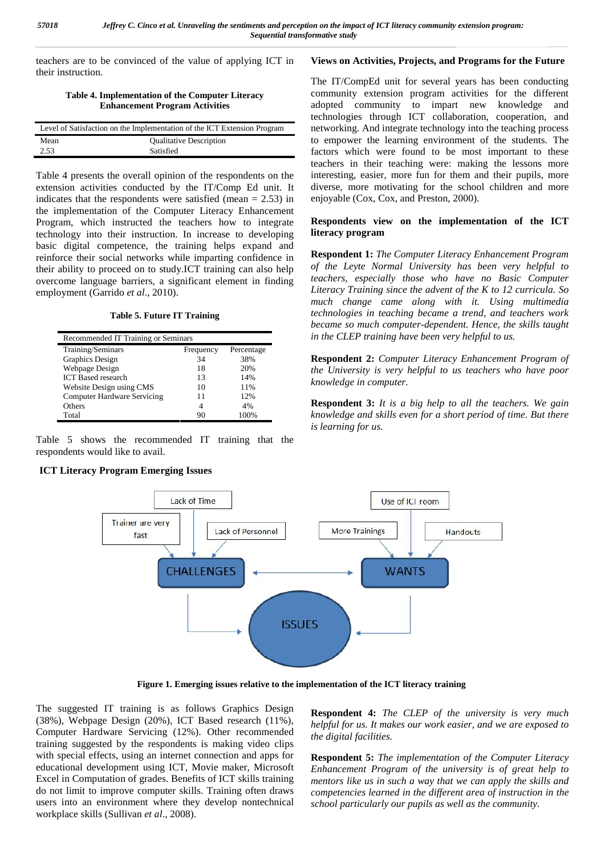teachers are to be convinced of the value of applying ICT in their instruction.

#### **Table 4. Implementation of the Computer Literacy Enhancement Program Activities**

|      | Level of Satisfaction on the Implementation of the ICT Extension Program | netw  |
|------|--------------------------------------------------------------------------|-------|
| Mean | <b>Qualitative Description</b>                                           | to e  |
| 2.53 | Satisfied                                                                | facto |

Table 4 presents the overall opinion of the respondents on the extension activities conducted by the IT/Comp Ed unit. It indicates that the respondents were satisfied (mean  $= 2.53$ ) in the implementation of the Computer Literacy Enhancement Program, which instructed the teachers how to integrate technology into their instruction. In increase to developing basic digital competence, the training helps expand and reinforce their social networks while imparting confidence in their ability to proceed on to study.ICT training can also help overcome language barriers, a significant element in finding employment (Garrido *et al*., 2010).

**Table 5. Future IT Training**

| Recommended IT Training or Seminars |           |            |
|-------------------------------------|-----------|------------|
| Training/Seminars                   | Frequency | Percentage |
| Graphics Design                     | 34        | 38%        |
| Webpage Design                      | 18        | 20%        |
| <b>ICT</b> Based research           | 13        | 14%        |
| Website Design using CMS            | 10        | 11%        |
| <b>Computer Hardware Servicing</b>  | 11        | 12%        |
| Others                              |           | 4%         |
| Total                               | 90        | 100%       |

Table 5 shows the recommended IT training that the respondents would like to avail.

## **ICT Literacy Program Emerging Issues**

## **Views on Activities, Projects, and Programs for the Future**

The IT/CompEd unit for several years has been conducting community extension program activities for the different adopted community to impart new knowledge and technologies through ICT collaboration, cooperation, and networking. And integrate technology into the teaching process to empower the learning environment of the students. The factors which were found to be most important to these teachers in their teaching were: making the lessons more interesting, easier, more fun for them and their pupils, more diverse, more motivating for the school children and more enjoyable (Cox, Cox, and Preston, 2000).

## **Respondents view on the implementation of the ICT literacy program**

**Respondent 1:** *The Computer Literacy Enhancement Program of the Leyte Normal University has been very helpful to teachers, especially those who have no Basic Computer Literacy Training since the advent of the K to 12 curricula. So much change came along with it. Using multimedia technologies in teaching became a trend, and teachers work became so much computer-dependent. Hence, the skills taught in the CLEP training have been very helpful to us.*

**Respondent 2:** *Computer Literacy Enhancement Program of the University is very helpful to us teachers who have poor knowledge in computer.*

**Respondent 3:** *It is a big help to all the teachers. We gain knowledge and skills even for a short period of time. But there is learning for us.*



**Figure 1. Emerging issues relative to the implementation of the ICT literacy training**

The suggested IT training is as follows Graphics Design (38%), Webpage Design (20%), ICT Based research (11%), Computer Hardware Servicing (12%). Other recommended training suggested by the respondents is making video clips with special effects, using an internet connection and apps for educational development using ICT, Movie maker, Microsoft Excel in Computation of grades. Benefits of ICT skills training do not limit to improve computer skills. Training often draws users into an environment where they develop nontechnical workplace skills (Sullivan *et al*., 2008).

**Respondent 4:** *The CLEP of the university is very much helpful for us. It makes our work easier, and we are exposed to the digital facilities.*

**Respondent 5:** *The implementation of the Computer Literacy Enhancement Program of the university is of great help to mentors like us in such a way that we can apply the skills and competencies learned in the different area of instruction in the school particularly our pupils as well as the community.*